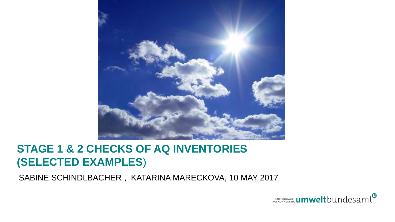

#### **STAGE 1 & 2 CHECKS OF AQ INVENTORIES (SELECTED EXAMPLES**)

SABINE SCHINDLBACHER , KATARINA MARECKOVA, 10 MAY 2017

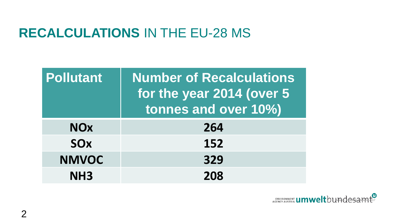## **RECALCULATIONS** IN THE EU-28 MS

| <b>Pollutant</b> | <b>Number of Recalculations</b><br>for the year 2014 (over 5)<br>tonnes and over 10%) |
|------------------|---------------------------------------------------------------------------------------|
| <b>NOx</b>       | 264                                                                                   |
| <b>SOx</b>       | 152                                                                                   |
| <b>NMVOC</b>     | 329                                                                                   |
| NH <sub>3</sub>  | 208                                                                                   |

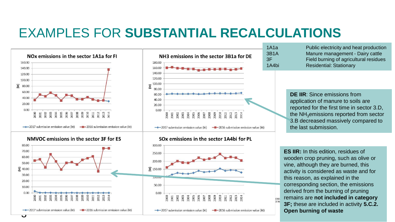## EXAMPLES FOR **SUBSTANTIAL RECALCULATIONS**



NMVOC emissions in the sector 3F for ES







1A1a Public electricity and heat production 3B1A Manure management - Dairy cattle 3F Field burning of agricultural residues 1A4bi Residential: Stationary

> **DE IIR**: Since emissions from application of manure to soils are reported for the first time in sector 3.D, the  $NH<sub>3</sub>$ emissions reported from sector 3.B decreased massively compared to the last submission.

**ES IIR:** In this edition, residues of wooden crop pruning, such as olive or vine, although they are burned, this activity is considered as waste and for this reason, as explained in the corresponding section, the emissions derived from the burning of pruning remains are **not included in category 3F;** these are included in activity **5.C.2. Open burning of waste** 

EN\ **GEN**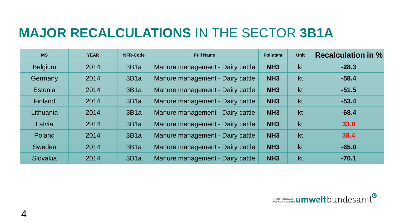# **MAJOR RECALCULATIONS** IN THE SECTOR **3B1A**

| <b>MS</b>      | <b>YEAR</b> | <b>NFR-Code</b> | <b>Full Name</b>                 | <b>Pollutant</b> | <b>Unit</b> | <b>Recalculation in %</b> |
|----------------|-------------|-----------------|----------------------------------|------------------|-------------|---------------------------|
| <b>Belgium</b> | 2014        | 3B1a            | Manure management - Dairy cattle | NH <sub>3</sub>  | kt          | $-28.3$                   |
| Germany        | 2014        | 3B1a            | Manure management - Dairy cattle | NH <sub>3</sub>  | kt          | $-58.4$                   |
| Estonia        | 2014        | 3B1a            | Manure management - Dairy cattle | NH <sub>3</sub>  | kt          | $-51.5$                   |
| Finland        | 2014        | 3B1a            | Manure management - Dairy cattle | NH <sub>3</sub>  | kt          | $-53.4$                   |
| Lithuania      | 2014        | 3B1a            | Manure management - Dairy cattle | NH <sub>3</sub>  | kt          | $-68.4$                   |
| Latvia         | 2014        | 3B1a            | Manure management - Dairy cattle | NH <sub>3</sub>  | kt          | 33.0                      |
| Poland         | 2014        | 3B1a            | Manure management - Dairy cattle | NH <sub>3</sub>  | kt          | 38.4                      |
| Sweden         | 2014        | 3B1a            | Manure management - Dairy cattle | NH <sub>3</sub>  | kt          | $-65.0$                   |
| Slovakia       | 2014        | 3B1a            | Manure management - Dairy cattle | NH <sub>3</sub>  | kt          | $-70.1$                   |

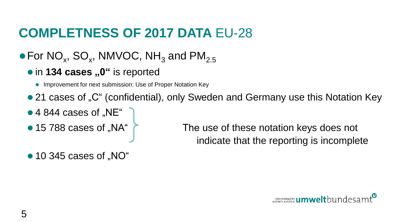# **COMPLETNESS OF 2017 DATA** EU-28

#### $\bullet$  For NO<sub>x</sub>, SO<sub>x</sub>, NMVOC, NH<sub>3</sub> and PM<sub>2.5</sub>

- **in 134 cases ..0" is reported** 
	- Improvement for next submission: Use of Proper Notation Key
- 21 cases of "C" (confidential), only Sweden and Germany use this Notation Key
- $\bullet$  4 844 cases of ..NE"
- 

• 15 788 cases of "NA" The use of these notation keys does not indicate that the reporting is incomplete

 $\bullet$  10 345 cases of "NO"

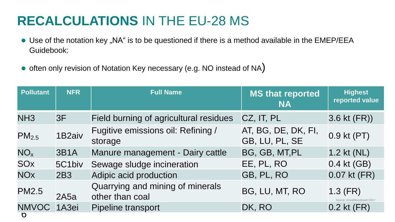# **RECALCULATIONS** IN THE EU-28 MS

- Use of the notation key "NA" is to be questioned if there is a method available in the EMEP/EEA Guidebook:
- often only revision of Notation Key necessary (e.g. NO instead of NA)

| <b>Pollutant</b>      | <b>NFR</b>         | <b>Full Name</b>                                    | <b>MS that reported</b><br><b>NA</b>  | <b>Highest</b><br>reported value       |
|-----------------------|--------------------|-----------------------------------------------------|---------------------------------------|----------------------------------------|
| NH <sub>3</sub>       | 3F                 | Field burning of agricultural residues              | CZ, IT, PL                            | $3.6$ kt $(FR)$ )                      |
| PM <sub>2.5</sub>     | 1B <sub>2aiv</sub> | Fugitive emissions oil: Refining /<br>storage       | AT, BG, DE, DK, FI,<br>GB, LU, PL, SE | 0.9 kt (PT)                            |
| NO <sub>x</sub>       | <b>3B1A</b>        | Manure management - Dairy cattle                    | BG, GB, MT, PL                        | $1.2$ kt (NL)                          |
| <b>SO<sub>x</sub></b> | 5C1biv             | Sewage sludge incineration                          | EE, PL, RO                            | 0.4 kt (GB)                            |
| <b>NO<sub>x</sub></b> | 2B3                | Adipic acid production                              | GB, PL, RO                            | 0.07 kt (FR)                           |
| <b>PM2.5</b>          | 2A5a               | Quarrying and mining of minerals<br>other than coal | BG, LU, MT, RO                        | $1.3$ (FR)<br>ce: Umweltbundesamt 2017 |
| NMVOC 1A3ei<br>O      |                    | Pipeline transport                                  | DK, RO                                | $0.2$ kt $(FR)$                        |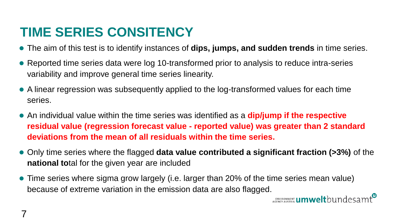# **TIME SERIES CONSITENCY**

- ⚫ The aim of this test is to identify instances of **dips, jumps, and sudden trends** in time series.
- Reported time series data were log 10-transformed prior to analysis to reduce intra-series variability and improve general time series linearity.
- ⚫ A linear regression was subsequently applied to the log-transformed values for each time series.
- ⚫ An individual value within the time series was identified as a **dip/jump if the respective residual value (regression forecast value - reported value) was greater than 2 standard deviations from the mean of all residuals within the time series.**
- ⚫ Only time series where the flagged **data value contributed a significant fraction (>3%)** of the **national to**tal for the given year are included
- ⚫ Time series where sigma grow largely (i.e. larger than 20% of the time series mean value) because of extreme variation in the emission data are also flagged.<br>**Contract the emission data are also flagged.**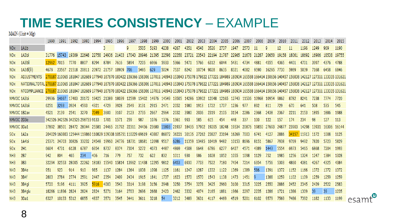#### **TIME SERIES CONSISTENCY** – EXAMPLE

 $MAIN$  (Unit = Mg)

|                       |                                                                                                                                                                                                     | 1990  | 1991  | 1992  | 1993                             | 1994        | 1995        | 1996                                                                                                    | 1997        | 1998  | 1999       | 2000  | 2001  | 2002  | 2003                                      | 2004  | 2005  | 2006                                                                                            | 2007        | 2008  | 2009       | 2010  | 2011  | 2012        | 2013  | 2014                                                                                                                                                                                  | 2015 |
|-----------------------|-----------------------------------------------------------------------------------------------------------------------------------------------------------------------------------------------------|-------|-------|-------|----------------------------------|-------------|-------------|---------------------------------------------------------------------------------------------------------|-------------|-------|------------|-------|-------|-------|-------------------------------------------|-------|-------|-------------------------------------------------------------------------------------------------|-------------|-------|------------|-------|-------|-------------|-------|---------------------------------------------------------------------------------------------------------------------------------------------------------------------------------------|------|
| NO <sub>x</sub>       | 1A1b                                                                                                                                                                                                |       |       |       |                                  |             | З           |                                                                                                         | 9           | 5505  | 5193       | 4238  | 4267  | 4351  | 4548                                      | 3526  | 2737  | 1947                                                                                            | 2573        | -11   | q          | 12    | 11    | 1196        | 1249  | 969                                                                                                                                                                                   | 1190 |
| <b>NOx</b>            | 1A3bi                                                                                                                                                                                               | 31776 |       |       | 15743 19309 22648 22758 24936    |             |             | 21403                                                                                                   | 17043       | 20946 | 21395      | 22598 | 22358 | 23721 | 23543                                     | 22194 | 21787 | 22965                                                                                           | 21678 21287 |       | 20650      | 19158 | 18061 | 18692       | 16906 | 18538 19755                                                                                                                                                                           |      |
| NO <sub>x</sub>       | 1A3bii                                                                                                                                                                                              | 12962 | 7015  | 7770  | 8807                             | 8294        | 8784        | 7616                                                                                                    | 5894        | 7205  | 6966       | 5933  | 5366  | 5471  | 5766                                      | 6312  | 6044  | 5431                                                                                            | 4734        | 4881  | 4555       | 4365  | 4401  | 4701        | 3997  | 4376                                                                                                                                                                                  | 4788 |
| NO <sub>x</sub>       | 1A3di(ii)                                                                                                                                                                                           | 4679  |       | 21518 | 20811                            | 20972 21757 |             | 18909                                                                                                   | 706         | 5495  | 629        | 5024  | 7537  | 8242  | 10754                                     | 9028  | 8635  | 8321                                                                                            | 4082        | 9590  | 16295      | 7730  | 5989  | 5039        | 7168  | 6458                                                                                                                                                                                  | 6846 |
| NO <sub>x</sub>       | <b>ADJUSTMENTS</b>                                                                                                                                                                                  |       |       |       |                                  |             |             |                                                                                                         |             |       |            |       |       |       |                                           |       |       |                                                                                                 |             |       |            |       |       |             |       | 270187 210065 181847 182689 177940 187870 183422 159366 158306 137011 148943 153843 175078 179822 177221 184989 180934 165588 166414 150656 140457 156838 142127 127311 133335 131621 |      |
| <b>NOx</b>            | NATIONALTOTAL 270187 210065 181847 182689 177940 187870 183422 159366 158306 137011 148943 153843 175078 179822 177221 184989 180934 165588 166414 150656 140457 156838 142127 127311 133335 131621 |       |       |       |                                  |             |             |                                                                                                         |             |       |            |       |       |       |                                           |       |       |                                                                                                 |             |       |            |       |       |             |       |                                                                                                                                                                                       |      |
| <b>NO<sub>x</sub></b> | <b>NTCOMPLIANCE</b>                                                                                                                                                                                 |       |       |       |                                  |             |             |                                                                                                         |             |       |            |       |       |       |                                           |       |       |                                                                                                 |             |       |            |       |       |             |       | 270187 210065 181847 182689 177940 187870 183422 159366 158306 137011 148943 153843 175078 179822 177221 184989 180934 165588 166414 150656 140457 156838 142127 127311 133335 131621 |      |
| NMVOC 1A3bi           |                                                                                                                                                                                                     | 29936 | 14697 | 17403 |                                  |             |             |                                                                                                         |             |       |            |       |       |       |                                           |       |       | 20172 19425 21389 18039 12599 15402 14976 14549 13505 14286 13902 12048 12165 12743 11536 10968 |             |       | 10954 9862 |       | 8782  | 8241        | 7238  | 7774                                                                                                                                                                                  | 7720 |
| NMVOC 1A3bii          |                                                                                                                                                                                                     | 6251  | 3293  | 3924  | 4593                             | 4321        | 4729        | 3928                                                                                                    | 2549        | 3131  | 2915       | 2471  | 2052  | 1980  | 1913                                      | 1722  | 1707  | 1236                                                                                            | 977         | 892   | 811        | 729   | 670   | 641         | 508   | 535                                                                                                                                                                                   | 545  |
| NMVOC 1B2av           |                                                                                                                                                                                                     |       | 2139  | 2541  | 3270                             | 7049        | 3600        | 3107                                                                                                    | 2123        | 2735  | 2667       | 2964  | 2032  | 3980  | 2036                                      | 2319  | 2105  | 3154                                                                                            | 2286        | 2368  | 2438       | 2367  | 2211  | 2153        | 1895  | 1886                                                                                                                                                                                  | 1988 |
| NMVOC 2D3e            |                                                                                                                                                                                                     |       |       |       | 342526 342526 342526 298735 9133 |             | 1701        | 1571                                                                                                    | 259         | 987   | 1076       | 1376  | 1361  | 993   | 585                                       | 615   | 454   | 448                                                                                             | 337         | 100   | 122        | 157   | 174   | 234         | 98    | 127                                                                                                                                                                                   | 113  |
| NMVOC 3Da1            |                                                                                                                                                                                                     |       |       |       |                                  |             |             | 37892 38501 28472 28044 25581 24465 21792 22311 24456 23680                                             |             |       |            |       |       |       | 11803 21937 18435 17902 19205 18248 19534 |       |       |                                                                                                 | 20876       | 19850 | 27693      | 24877 | 23903 | 14298 13931 |       | 16306 16144                                                                                                                                                                           |      |
| SOx.                  | 1A2a                                                                                                                                                                                                |       |       |       |                                  |             |             | 204029 160803 125444 119860 110829 109308 105751 110229 69619 43807 86872 36221 30135 27262 23827 23194 |             |       |            |       |       |       |                                           |       |       | 16269 7003                                                                                      |             | 6741  | 4127       | 2886  | 34157 | 11913       | 1172  | 1008                                                                                                                                                                                  | 1125 |
| S <sub>O</sub> x      | 1A4bi                                                                                                                                                                                               |       |       | 30826 |                                  |             |             | 33232 24548 19960 24776 18731 18681                                                                     |             |       | 12698 9517 |       | 6286  | 11359 | 13485 10419 9482                          |       |       | 10153 8696                                                                                      |             | 8151  | 5867       | 7938  | 9769  | 9492        | 7820  | 5723                                                                                                                                                                                  | 5829 |
| <b>SO<sub>x</sub></b> | 2H1                                                                                                                                                                                                 |       | 4731  | 6128  | 6787                             | 6954        | 8737        | 8374                                                                                                    | 7304        | 5272  | 4073       | 4487  | 4869  | 4508  | 6648                                      | 6786  | 6277  | 6427                                                                                            | 4571        | 4389  | 1443       | 5554  | 6973  | 5465        | 6868  | 7204                                                                                                                                                                                  | 1993 |
| NH3                   | 2 <sub>B7</sub>                                                                                                                                                                                     | 942   | 804   | 465   | 234                              | 406         | 716         | 779                                                                                                     | 757         | 732   | 622        | 832   | 1011  | 930   | 986                                       | 1028  | 1052  | 1055                                                                                            | 1098        | 1129  | 752        | 1985  | 1256  | 1324        | 1247  | 1384                                                                                                                                                                                  | 1328 |
| NH3                   | 3B <sub>3</sub>                                                                                                                                                                                     | 32294 | 32553 | 28005 | 22262                            | 18183       | 15540 15814 |                                                                                                         | 13962 11438 |       | 12295 9812 |       | 6453  | 6930  | 7733                                      | 7522  | 7180  | 7454                                                                                            | 7214        | 6354  | 5756       | 5303  | 4860  | 4381        | 4267  | 4325                                                                                                                                                                                  | 4384 |
| NH3                   | 3B4e                                                                                                                                                                                                | 951   | 923   | 914   | 910                              | 985         | 1137        | 1284                                                                                                    | 1364        | 1038  | 1098       | 1125  | 1161  | 1247  | 1287                                      | 1332  | 1122  | 1369                                                                                            | 1389        | 586   | 1391       | 1372  | 1152  | 1166        | 1372  | 1372                                                                                                                                                                                  | 1372 |
| NH <sub>3</sub>       | 3B4f                                                                                                                                                                                                | 2803  | 2784  | 2774  | 2591                             | 2447        | 2354        | 2409                                                                                                    | 2434        | 1915  | 1841       | 1737  | 1623  | 1570  | 1570                                      | 1543  | 1138  | 1473                                                                                            | 1451        |       | 1388       | 1259  | 1102  | 1109        | 1259  | 1259                                                                                                                                                                                  | 1259 |
| NH3                   | 3B4qi                                                                                                                                                                                               | 5720  | 5196  | 4111  | 3925                             | 5916        | 4003        | 3543                                                                                                    | 3314        | 3198  | 3156       | 2948  | 3250  | 3754  | 3278                                      | 3425  | 2960  | 3100                                                                                            | 3315        | 3225  | 2550       | 2886  | 2452  | 2345        | 2439  | 2522                                                                                                                                                                                  | 2583 |
| NH3                   | 3B4aiv                                                                                                                                                                                              | 18266 | 11896 | 2824  | 2824                             | 2824        | 5271        | 3164                                                                                                    | 2703        | 2696  | 2668       | 2423  | 2462  | 3332  | 4074                                      | 2165  | 1881  | 1966                                                                                            | 2297        | 2235  | 1286       | 1721  | 1386  | 1309        | 39    | 39                                                                                                                                                                                    | 1235 |
| NH <sub>3</sub>       | 3Da1                                                                                                                                                                                                | 6327  | 10133 | 5312  | 6855                             | 4837        | 3571        | 3545                                                                                                    | 3441        | 3611  | 3218       | 54    | 3212  | 3489  | 3631                                      | 4117  | 4469  | 4519                                                                                            | 5201        | 6102  | 9579       | 7569  | 7486  | 7392        | 1182  | 1133                                                                                                                                                                                  | 1199 |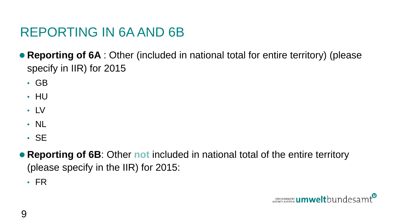# REPORTING IN 6A AND 6B

● **Reporting of 6A** : Other (included in national total for entire territory) (please specify in IIR) for 2015

- GB
- HU
- LV
- NL
- SE
- ⚫ **Reporting of 6B**: Other **not** included in national total of the entire territory (please specify in the IIR) for 2015:
	- FR

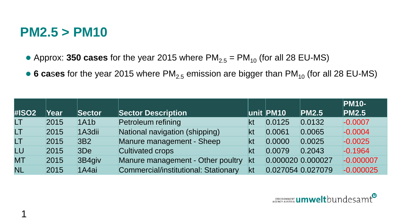#### **PM2.5 > PM10**

- Approx: **350 cases** for the year 2015 where  $PM_{2.5} = PM_{10}$  (for all 28 EU-MS)
- **6 cases** for the year 2015 where PM<sub>2.5</sub> emission are bigger than PM<sub>10</sub> (for all 28 EU-MS)

|              |      |                     |                                      |    |                   |        | <b>PM10-</b> |
|--------------|------|---------------------|--------------------------------------|----|-------------------|--------|--------------|
| <b>#ISO2</b> | Year | Sector              | <b>Sector Description</b>            |    | unit <b>PM10</b>  | PM2.5  | PM2.5        |
| LT.          | 2015 | 1A1b                | Petroleum refining                   | kt | 0.0125            | 0.0132 | $-0.0007$    |
| LT.          | 2015 | 1A <sub>3</sub> dii | National navigation (shipping)       | kt | 0.0061            | 0.0065 | $-0.0004$    |
| LT.          | 2015 | 3B <sub>2</sub>     | Manure management - Sheep            | kt | 0.0000            | 0.0025 | $-0.0025$    |
| LU           | 2015 | 3De                 | <b>Cultivated crops</b>              | kt | 0.0079            | 0.2043 | $-0.1964$    |
| <b>MT</b>    | 2015 | 3B4giv              | Manure management - Other poultry    | kt | 0.000020 0.000027 |        | $-0.000007$  |
| <b>NL</b>    | 2015 | 1A4ai               | Commercial/institutional: Stationary | kt | 0.027054 0.027079 |        | $-0.000025$  |

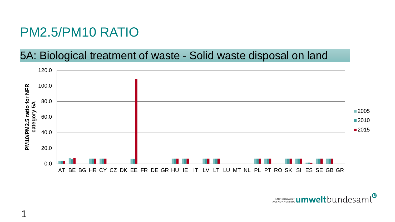#### PM2.5/PM10 RATIO

#### 5A: Biological treatment of waste - Solid waste disposal on land



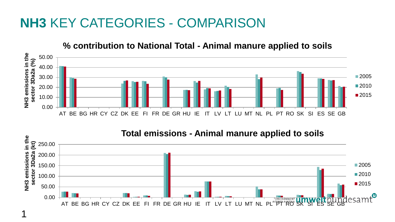### **NH3** KEY CATEGORIES - COMPARISON



#### **% contribution to National Total - Animal manure applied to soils**



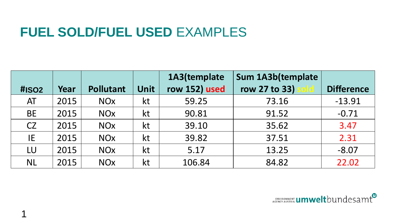#### **FUEL SOLD/FUEL USED** EXAMPLES

|                   |      |                       |             | 1A3(template  | Sum 1A3b(template |                   |  |  |
|-------------------|------|-----------------------|-------------|---------------|-------------------|-------------------|--|--|
| #ISO <sub>2</sub> | Year | <b>Pollutant</b>      | <b>Unit</b> | row 152) used | row 27 to 33)     | <b>Difference</b> |  |  |
| AT                | 2015 | <b>NO<sub>x</sub></b> | kt          | 59.25         | 73.16             | $-13.91$          |  |  |
| <b>BE</b>         | 2015 | <b>NO<sub>x</sub></b> | kt          | 90.81         | 91.52             | $-0.71$           |  |  |
| <b>CZ</b>         | 2015 | <b>NO<sub>x</sub></b> | kt          | 39.10         | 35.62             | 3.47              |  |  |
| IE                | 2015 | <b>NO<sub>x</sub></b> | kt          | 39.82         | 37.51             | 2.31              |  |  |
| LU                | 2015 | <b>NO<sub>x</sub></b> | kt          | 5.17          | 13.25             | $-8.07$           |  |  |
| <b>NL</b>         | 2015 | <b>NO<sub>x</sub></b> | kt          | 106.84        | 84.82             | 22.02             |  |  |